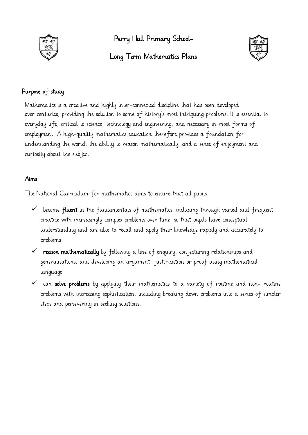

Perry Hall Primary School-

## Long Term Mathematics Plans



## Purpose of study

Mathematics is a creative and highly inter-connected discipline that has been developed over centuries, providing the solution to some of history's most intriguing problems. It is essential to everyday life, critical to science, technology and engineering, and necessary in most forms of employment. A high-quality mathematics education therefore provides a foundation for understanding the world, the ability to reason mathematically, and a sense of enjoyment and curiosity about the subject.

## Aims

The National Curriculum for mathematics aims to ensure that all pupils:

- $\checkmark$  become **fluent** in the fundamentals of mathematics, including through varied and frequent practice with increasingly complex problems over time, so that pupils have conceptual understanding and are able to recall and apply their knowledge rapidly and accurately to problems
- $\checkmark$  reason mathematically by following a line of enquiry, conjecturing relationships and generalisations, and developing an argument, justification or proof using mathematical language
- $\checkmark$  can solve problems by applying their mathematics to a variety of routine and non- routine problems with increasing sophistication, including breaking down problems into a series of simpler steps and persevering in seeking solutions.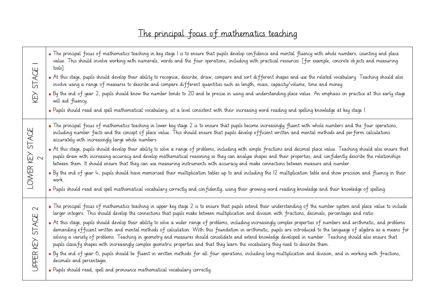## The principal focus of mathematics teaching

| STAGE<br>KEY                       | • The principal focus of mathematics teaching in key stage I is to ensure that pupils develop confidence and mental fluency with whole numbers, counting and place<br>value. This should involve working with numerals, words and the four operations, including with practical resources [for example, concrete ob jects and measuring<br>tools].<br>* At this stage, pupils should develop their ability to recognise, describe, draw, compare and sort different shapes and use the related vocabulary. Teaching should also<br>involve using a range of measures to describe and compare different quantities such as length, mass, capacity/volume, time and money.<br>• By the end of year 2, pupils should know the number bonds to 20 and be precise in using and understanding place value. An emphasis on practice at this early stage<br>will aid fluency.<br>• Pupils should read and spell mathematical vocabulary, at a level consistent with their increasing word reading and spelling knowledge at key stage I.                                                                                                                                                                                                                                                          |
|------------------------------------|-------------------------------------------------------------------------------------------------------------------------------------------------------------------------------------------------------------------------------------------------------------------------------------------------------------------------------------------------------------------------------------------------------------------------------------------------------------------------------------------------------------------------------------------------------------------------------------------------------------------------------------------------------------------------------------------------------------------------------------------------------------------------------------------------------------------------------------------------------------------------------------------------------------------------------------------------------------------------------------------------------------------------------------------------------------------------------------------------------------------------------------------------------------------------------------------------------------------------------------------------------------------------------------------|
| STAGE<br>KEY<br>2<br>LOWER         | • The principal focus of mathematics teaching in lower key stage 2 is to ensure that pupils become increasingly fluent with whole numbers and the four operations,<br>including number facts and the concept of place value. This should ensure that pupils develop efficient written and mental methods and perform calculations<br>accurately with increasingly large whole numbers.<br>• At this stage, pupils should develop their ability to solve a range of problems, including with simple fractions and decimal place value. Teaching should also ensure that<br>pupils draw with increasing accuracy and develop mathematical reasoning so they can analyse shapes and their properties, and confidently describe the relationships<br>between them. It should ensure that they can use measuring instruments with accuracy and make connections between measure and number.<br>• By the end of year 4, pupils should have memorised their multiplication tables up to and including the 12 multiplication table and show precision and fluency in their<br>work.<br>. Pupils should read and spell mathematical vocabulary correctly and confidently, using their growing word reading knowledge and their knowledge of spelling.                                              |
| $\sim$<br>STACE<br>石<br>人<br>UPPER | • The principal focus of mathematics teaching in upper key stage 2 is to ensure that pupils extend their understanding of the number system and place value to include<br>larger integers. This should develop the connections that pupils make between multiplication and division with fractions, decimals, percentages and ratio.<br>• At this stage, pupils should develop their ability to solve a wider range of problems, including increasingly complex properties of numbers and arithmetic, and problems<br>demanding efficient written and mental methods of calculation. With this foundation in arithmetic, pupils are introduced to the language of algebra as a means for<br>solving a variety of problems. Teaching in geometry and measures should consolidate and extend knowledge developed in number. Teaching should also ensure that<br>pupils classify shapes with increasingly complex geometric properties and that they learn the vocabulary they need to describe them.<br>• By the end of year 6, pupils should be fluent in written methods for all four operations, including long multiplication and division, and in working with fractions,<br>decimals and percentages.<br>• Pupils should read, spell and pronounce mathematical vocabulary correctly. |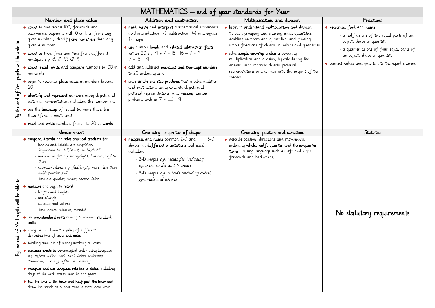|                                                                              | MATHEMATICS – end of year standards for Year I                                                                                                                                                                                                                                                                                                                                                                                                                                                                                                                                                                                                                                                                                                                                                                                                                                                                                                                                                                                                                            |                                                                                                                                                                                                                                                                                                                                                                                                                                                                                                                            |                                                                                                                                                                                                                                                                                                                                                                                                                        |                                                                                                                                                                                                                                        |  |
|------------------------------------------------------------------------------|---------------------------------------------------------------------------------------------------------------------------------------------------------------------------------------------------------------------------------------------------------------------------------------------------------------------------------------------------------------------------------------------------------------------------------------------------------------------------------------------------------------------------------------------------------------------------------------------------------------------------------------------------------------------------------------------------------------------------------------------------------------------------------------------------------------------------------------------------------------------------------------------------------------------------------------------------------------------------------------------------------------------------------------------------------------------------|----------------------------------------------------------------------------------------------------------------------------------------------------------------------------------------------------------------------------------------------------------------------------------------------------------------------------------------------------------------------------------------------------------------------------------------------------------------------------------------------------------------------------|------------------------------------------------------------------------------------------------------------------------------------------------------------------------------------------------------------------------------------------------------------------------------------------------------------------------------------------------------------------------------------------------------------------------|----------------------------------------------------------------------------------------------------------------------------------------------------------------------------------------------------------------------------------------|--|
|                                                                              | Number and place value                                                                                                                                                                                                                                                                                                                                                                                                                                                                                                                                                                                                                                                                                                                                                                                                                                                                                                                                                                                                                                                    | Addition and subtraction                                                                                                                                                                                                                                                                                                                                                                                                                                                                                                   | Multiplication and division                                                                                                                                                                                                                                                                                                                                                                                            | Fractions                                                                                                                                                                                                                              |  |
| ᅌ<br>able<br>of Yr I pupils will be<br>ಕ್ಷ<br>$\frac{1}{2}$<br>කි            | * count to and across IOO, forwards and<br>backwards, beginning with O or I, or from any<br>given number; identify one more/less than any<br>given a number<br>count in twos, fives and tens from different<br>multiples e.g. 6, 8, 10, 12, 14<br>count, read, write and compare numbers to IOO in<br>numerals<br>begin to recognise place value in numbers beyond<br>20<br>identify and represent numbers using objects and<br>pictorial representations including the number line<br>* use the <b>language</b> of: equal to, more than, less<br>than (fewer), most, least<br>* read and write numbers from I to 20 in words                                                                                                                                                                                                                                                                                                                                                                                                                                             | * read, write and interpret mathematical statements<br>involving addition $(+)$ , subtraction $(-)$ and equals<br>$($ =) signs<br>* use number bonds and related subtraction facts<br>within 20 e.g. $9 + 7 = 16$ ; $16 - 7 = 9$ ;<br>$7 = 16 - 9$<br>• add and subtract one-digit and two-digit numbers<br>to 20 including zero<br>• solve simple one-step problems that involve addition<br>and subtraction, using concrete objects and<br>pictorial representations, and missing number<br>problems such as $7 = 2 - 9$ | begin to understand multiplication and division<br>through grouping and sharing small quantities;<br>doubling numbers and quantities, and finding<br>simple fractions of objects, numbers and quantities<br>• solve simple one-step problems involving<br>multiplication and division, by calculating the<br>answer using concrete objects, pictorial<br>representations and arrays with the support of the<br>teacher | * recognise, find and name<br>- a half as one of two equal parts of an<br>object, shape or quantity<br>- a quarter as one of four equal parts of<br>an object, shape or quantity<br>* connect halves and quarters to the equal sharing |  |
|                                                                              | Measurement                                                                                                                                                                                                                                                                                                                                                                                                                                                                                                                                                                                                                                                                                                                                                                                                                                                                                                                                                                                                                                                               | Geometry: properties of shapes                                                                                                                                                                                                                                                                                                                                                                                                                                                                                             | Geometry: position and direction                                                                                                                                                                                                                                                                                                                                                                                       | <b>Statistics</b>                                                                                                                                                                                                                      |  |
| 육<br>able<br>pupils will be<br>—<br>$\star$<br>ಕ<br>đ<br>$\frac{1}{2}$<br>සි | * compare, describe and solve practical problems for:<br>- lengths and heights e.g. long/short,<br>longer/shorter, tall/short, double/half<br>- mass or weight e.g. heavy/light, heavier / lighter<br>than<br>- capacity/volume e.g. full/empty, more /less than,<br>half/quarter full<br>- time e.g. quicker, slower, earlier, later<br>* measure and begin to record:<br>- lengths and heights<br>- mass/weight<br>- capacity and volume<br>- time (hours, minutes, seconds)<br>use non-standard units moving to common standard<br>units<br>recognise and know the <b>value</b> of different<br>denominations of coins and notes<br>* totalling amounts of money involving all coins<br>sequence events in chronological order using language<br>e.g. before, after, next, first, today, yesterday,<br>tomorrow, morning, afternoon, evening<br>* recognise and use language relating to dates, including<br>days of the week, weeks, months and years<br>* tell the time to the hour and half past the hour and<br>draw the hands on a clock face to show these times | $3-D$<br><b>* recognise</b> and <b>name</b> common 2-D and<br>shapes (in different orientations and sizes),<br>including:<br>- 2-D shapes e.g. rectangles (including<br>squares), circles and triangles<br>- 3-D shapes e.g. cuboids (including cubes),<br>pyramids and spheres                                                                                                                                                                                                                                            | * describe position, directions and movements,<br>including whole, half, quarter and three-quarter<br>turns. (using language such as left and right,<br>forwards and backwards)                                                                                                                                                                                                                                        | No statutory requirements                                                                                                                                                                                                              |  |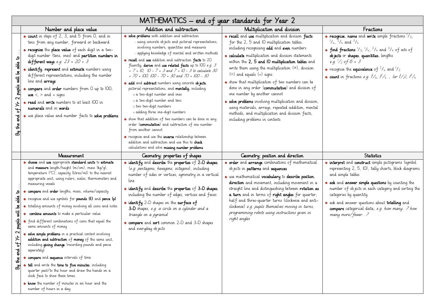|                                                                                                          | MATHEMATICS – end of year standards for Year 2                                                                                                                                                                                                                                                                                                                                                                                                                                                                                                                                                                                                                                                                                                                                                                                                                                                                                                                                                                                         |                                                                                                                                                                                                                                                                                                                                                                                                                                                                                                                                                                                                                                                                                                                                                                                                                                               |                                                                                                                                                                                                                                                                                                                                                                                                                                                                                                                                                                                                                                                                                                |                                                                                                                                                                                                                                                                                                                                                                                                             |  |  |
|----------------------------------------------------------------------------------------------------------|----------------------------------------------------------------------------------------------------------------------------------------------------------------------------------------------------------------------------------------------------------------------------------------------------------------------------------------------------------------------------------------------------------------------------------------------------------------------------------------------------------------------------------------------------------------------------------------------------------------------------------------------------------------------------------------------------------------------------------------------------------------------------------------------------------------------------------------------------------------------------------------------------------------------------------------------------------------------------------------------------------------------------------------|-----------------------------------------------------------------------------------------------------------------------------------------------------------------------------------------------------------------------------------------------------------------------------------------------------------------------------------------------------------------------------------------------------------------------------------------------------------------------------------------------------------------------------------------------------------------------------------------------------------------------------------------------------------------------------------------------------------------------------------------------------------------------------------------------------------------------------------------------|------------------------------------------------------------------------------------------------------------------------------------------------------------------------------------------------------------------------------------------------------------------------------------------------------------------------------------------------------------------------------------------------------------------------------------------------------------------------------------------------------------------------------------------------------------------------------------------------------------------------------------------------------------------------------------------------|-------------------------------------------------------------------------------------------------------------------------------------------------------------------------------------------------------------------------------------------------------------------------------------------------------------------------------------------------------------------------------------------------------------|--|--|
|                                                                                                          | Number and place value                                                                                                                                                                                                                                                                                                                                                                                                                                                                                                                                                                                                                                                                                                                                                                                                                                                                                                                                                                                                                 | Addition and subtraction                                                                                                                                                                                                                                                                                                                                                                                                                                                                                                                                                                                                                                                                                                                                                                                                                      | Multiplication and division                                                                                                                                                                                                                                                                                                                                                                                                                                                                                                                                                                                                                                                                    | Fractions                                                                                                                                                                                                                                                                                                                                                                                                   |  |  |
| ್ಕೆ<br>ತ್ತ<br>pupils will be<br>$\mathbf{\Omega}$<br>$\gamma_{\mathbf{t}}$<br>್ದಾ<br>$\frac{1}{2}$<br>ක් | * count in steps of 2, 3, and 5 from 0, and in<br>tens from any number, forward or backward<br>* recognise the place value of each digit in a two-<br>digit number (tens, ones) and partition numbers in<br>different ways e.g. $23 = 20 + 3$<br>identify, represent and estimate numbers using<br>different representations, including the number<br>line and <b>arrays</b><br>compare and order numbers from O up to IOO;<br>use $\lt$ , $>$ and = signs<br><b>* read</b> and <b>write</b> numbers to at least IOO in<br>numerals and in words<br>* use place value and number facts to solve problems                                                                                                                                                                                                                                                                                                                                                                                                                               | • solve problems with addition and subtraction:<br>- using concrete objects and pictorial representations,<br>involving numbers, quantities and measures<br>- applying knowledge of mental and written methods<br><b>* recall</b> and use addition and subtraction facts to 20<br>fluently, derive and use related facts up to IOO e.g. 3<br>+ $7 = 10$ , $10 - 7 = 3$ and $7 = 10 - 3$ to calculate 30<br>$+ 70 = 100$ , 100 - 70 = 30 and 70 = 100 - 30<br>* add and subtract numbers using concrete objects,<br>pictorial representations, and mentally, including:<br>o a two-digit number and ones<br>o a two-digit number and tens<br>o two two-digit numbers<br>o adding three one-digit numbers<br>• show that addition of two numbers can be done in any<br>order (commutative) and subtraction of one number<br>from another cannot | • recall and use multiplication and division facts<br>for the 2, 5 and 10 multiplication tables,<br>including recognising odd and even numbers<br>* calculate multiplication and division statements<br>within the 2, 5 and 10 multiplication tables and<br>write them using the multiplication $(x)$ , division<br>$(\div)$ and equals (=) signs<br>• show that multiplication of two numbers can be<br>done in any order (commutative) and division of<br>one number by another cannot<br>• solve problems involving multiplication and division,<br>using materials, arrays, repeated addition, mental<br>methods, and multiplication and division facts,<br>including problems in contexts | <b>* recognise, name</b> and write simple fractions $1/3$ ,<br>$1/4$ , $2/4$ and $3/4$<br>• find fractions $1/3$ , $1/4$ , $2/4$ and $3/4$ of sets of<br>objects or shapes, quantities, lengths<br>e.g. $\frac{1}{2}$ of 6 = 3<br>* recognise the <b>equivalence</b> of <sup>2</sup> / <sub>4</sub> and <sup>1</sup> / <sub>2</sub><br>* count in fractions e.g. $1/4$ , $1/4$ , for $1/2$ , $1/4$          |  |  |
|                                                                                                          |                                                                                                                                                                                                                                                                                                                                                                                                                                                                                                                                                                                                                                                                                                                                                                                                                                                                                                                                                                                                                                        | recognise and use the <b>inverse</b> relationship between<br>addition and subtraction and use this to <b>check</b><br>calculations and solve missing number problems                                                                                                                                                                                                                                                                                                                                                                                                                                                                                                                                                                                                                                                                          |                                                                                                                                                                                                                                                                                                                                                                                                                                                                                                                                                                                                                                                                                                |                                                                                                                                                                                                                                                                                                                                                                                                             |  |  |
|                                                                                                          | Measurement                                                                                                                                                                                                                                                                                                                                                                                                                                                                                                                                                                                                                                                                                                                                                                                                                                                                                                                                                                                                                            | Geometry: properties of shapes                                                                                                                                                                                                                                                                                                                                                                                                                                                                                                                                                                                                                                                                                                                                                                                                                | Geometry: position and direction                                                                                                                                                                                                                                                                                                                                                                                                                                                                                                                                                                                                                                                               | <b>Statistics</b>                                                                                                                                                                                                                                                                                                                                                                                           |  |  |
| ᅌ<br>dale<br>ತೆ<br>$\vec{\ast}$<br>pupils<br>$\sim$<br>$55 \times$<br>ಕ<br>$\frac{1}{L}$<br>ක්           | * choose and use appropriate standard units to estimate<br>and measure length/height (m/cm); mass (kg/g);<br>temperature (°C); capacity (litres/ml) to the nearest<br>appropriate unit, using rulers, scales, thermometers and<br>measuring vessels<br>* compare and order lengths, mass, volume/capacity<br>* recognise and use symbols for pounds (£) and pence (p)<br>* totalling amounts of money involving all coins and notes<br>* combine amounts to make a particular value<br>• find different combinations of coins that equal the<br>same amounts of money<br>solve simple problems in a practical context involving<br>addition and subtraction of money of the same unit,<br>including giving change (recording pounds and pence<br>separately)<br>* compare and sequence intervals of time<br>* tell and write the time to five minutes, including<br>quarter past/to the hour and draw the hands on a<br>clock face to show these times.<br>* know the number of minutes in an hour and the<br>number of hours in a day | • identify and describe the properties of 2-D shapes.<br>(e.g. pentagons, hexagons, octagons), including<br>number of sides or vertices, symmetry in a vertical<br>line<br>• identify and describe the properties of $3-D$ shapes.<br>including the number of edges, vertices and faces<br>* identify 2-D shapes on the surface of<br>3-D shapes, e.g. a circle on a cylinder and a<br>triangle on a pyramid<br>• compare and sort common 2-D and 3-D shapes<br>and everyday ob jects                                                                                                                                                                                                                                                                                                                                                         | • order and arrange combinations of mathematical<br>objects in patterns and sequences<br>* use mathematical vocabulary to describe position,<br>direction and movement, including movement in a<br>straight line and distinguishing between rotation as<br>a turn and in terms of right angles for quarter,<br>half and three-quarter turns (clockwise and anti-<br>clockwise) e.g. pupils themselves moving in turns,<br>programming robots using instructions given in<br>right angles                                                                                                                                                                                                       | * interpret and construct simple pictograms (symbol<br>representing 2, 5, 10), tally charts, block diagrams<br>and simple tables<br>$\bullet$ ask and answer simple questions by counting the<br>number of objects in each category and sorting the<br>categories by quantity<br>* ask and answer questions about <b>totalling</b> and<br>compare categorical data, e.g. how many. Phow<br>many more/fewer? |  |  |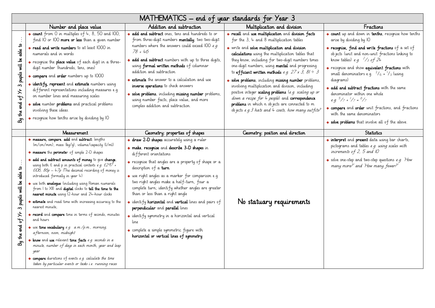|                                                                                          | MATHEMATICS – end of year standards for Year 3                                                                                                                                                                                                                                                                                                                                                                                                                                                                                                                                                                                                                                                                                                                                                                                                                                                               |                                                                                                                                                                                                                                                                                                                                                                                                                                                                                                                                                                                                                                                                   |                                                                                                                                                                                                                    |                                                                                                                                                                                                                        |  |
|------------------------------------------------------------------------------------------|--------------------------------------------------------------------------------------------------------------------------------------------------------------------------------------------------------------------------------------------------------------------------------------------------------------------------------------------------------------------------------------------------------------------------------------------------------------------------------------------------------------------------------------------------------------------------------------------------------------------------------------------------------------------------------------------------------------------------------------------------------------------------------------------------------------------------------------------------------------------------------------------------------------|-------------------------------------------------------------------------------------------------------------------------------------------------------------------------------------------------------------------------------------------------------------------------------------------------------------------------------------------------------------------------------------------------------------------------------------------------------------------------------------------------------------------------------------------------------------------------------------------------------------------------------------------------------------------|--------------------------------------------------------------------------------------------------------------------------------------------------------------------------------------------------------------------|------------------------------------------------------------------------------------------------------------------------------------------------------------------------------------------------------------------------|--|
|                                                                                          | Number and place value                                                                                                                                                                                                                                                                                                                                                                                                                                                                                                                                                                                                                                                                                                                                                                                                                                                                                       | Addition and subtraction                                                                                                                                                                                                                                                                                                                                                                                                                                                                                                                                                                                                                                          | Multiplication and division                                                                                                                                                                                        | Fractions                                                                                                                                                                                                              |  |
|                                                                                          | * count from 0 in multiples of 4, 8, 50 and 100;<br>find IO or IOO more or less than a given number                                                                                                                                                                                                                                                                                                                                                                                                                                                                                                                                                                                                                                                                                                                                                                                                          | * add and subtract ones, tens and hundreds to or<br>from three-digit numbers mentally; two two-digit                                                                                                                                                                                                                                                                                                                                                                                                                                                                                                                                                              | * recall and use multiplication and division facts<br>for the $3$ , $4$ and 8 multiplication tables                                                                                                                | * count up and down in tenths; recognise how tenths<br>arise by dividing by IO                                                                                                                                         |  |
|                                                                                          | * read and write numbers to at least IOOO in<br>numerals and in words                                                                                                                                                                                                                                                                                                                                                                                                                                                                                                                                                                                                                                                                                                                                                                                                                                        | numbers where the answers could exceed IOO e.g.<br>$78 + 46$                                                                                                                                                                                                                                                                                                                                                                                                                                                                                                                                                                                                      | * write and solve multiplication and division<br>calculations using the multiplication tables that                                                                                                                 | * recognise, find and write fractions of a set of<br>objects (unit and non-unit fractions linking to                                                                                                                   |  |
| 3 pupils will be able to                                                                 | * recognise the place value of each digit in a three-<br>digit number (hundreds, tens, ones)                                                                                                                                                                                                                                                                                                                                                                                                                                                                                                                                                                                                                                                                                                                                                                                                                 | • add and subtract numbers with up to three digits,<br>using formal written methods of columnar<br>addition and subtraction                                                                                                                                                                                                                                                                                                                                                                                                                                                                                                                                       | they know, including for two-digit numbers times<br>one-digit numbers, using <b>mental</b> and progressing<br>to efficient written methods e.g. $27 \times 3$ , $81 \div 3$                                        | know tables) e.g. $\frac{2}{3}$ of 24<br>* recognise and show equivalent fractions with                                                                                                                                |  |
|                                                                                          | * compare and order numbers up to 1000<br>identify, represent and estimate numbers using                                                                                                                                                                                                                                                                                                                                                                                                                                                                                                                                                                                                                                                                                                                                                                                                                     | * estimate the answer to a calculation and use<br>inverse operations to check answers                                                                                                                                                                                                                                                                                                                                                                                                                                                                                                                                                                             | * solve problems, including missing number problems,<br>involving multiplication and division, including                                                                                                           | small denominators e.g. $\frac{2}{6} = \frac{1}{3}$ (using<br>diagrams)                                                                                                                                                |  |
| مر ہو                                                                                    | different representations including measures e.g.<br>on number lines and measuring scales                                                                                                                                                                                                                                                                                                                                                                                                                                                                                                                                                                                                                                                                                                                                                                                                                    | * solve problems, including missing number problems,<br>using number facts, place value, and more                                                                                                                                                                                                                                                                                                                                                                                                                                                                                                                                                                 | positive integer scaling problems (e.g. scaling up or<br>down a recipe for 4 people) and correspondence<br>problems in which n objects are connected to m<br>objects e.g. 3 hats and $4$ coats, how many out fits? | • add and subtract fractions with the same<br>denominator within one whole<br>e.g. $\frac{5}{7} + \frac{1}{7} = \frac{6}{7}$                                                                                           |  |
| By the end                                                                               | solve number problems and practical problems<br>involving these ideas.                                                                                                                                                                                                                                                                                                                                                                                                                                                                                                                                                                                                                                                                                                                                                                                                                                       | complex addition and subtraction.                                                                                                                                                                                                                                                                                                                                                                                                                                                                                                                                                                                                                                 |                                                                                                                                                                                                                    | * compare and order unit fractions, and fractions<br>with the same denominators                                                                                                                                        |  |
|                                                                                          | * recognise how tenths arise by dividing by IO                                                                                                                                                                                                                                                                                                                                                                                                                                                                                                                                                                                                                                                                                                                                                                                                                                                               |                                                                                                                                                                                                                                                                                                                                                                                                                                                                                                                                                                                                                                                                   |                                                                                                                                                                                                                    | • solve problems that involve all of the above.                                                                                                                                                                        |  |
|                                                                                          | Measurement                                                                                                                                                                                                                                                                                                                                                                                                                                                                                                                                                                                                                                                                                                                                                                                                                                                                                                  | Geometry: properties of shapes                                                                                                                                                                                                                                                                                                                                                                                                                                                                                                                                                                                                                                    | Geometry: position and direction                                                                                                                                                                                   | Statistics                                                                                                                                                                                                             |  |
| pupils will be able to<br>$\infty$<br>$\star$<br>$\mathbf{f}^{\mathbf{c}}$<br>By the end | * measure, compare, add and subtract: lengths<br>(m/cm/mm); mass (kq/q); volume/capacity (l/ml)<br>* measure the perimeter of simple 2-D shapes<br>add and subtract amounts of money to give change,<br>using both $f$ and p in practical contexts e.g. $f297 +$<br>£106, $86p - 47p$ (The decimal recording of money is<br>introduced formally in year 4)<br>* use both <b>analogue</b> (including using Roman numerals<br>from I to XII) and digital clocks to tell the time to the<br>nearest minute using 12-hour and 24-hour clocks<br><b>* estimate</b> and read time with increasing accuracy to the<br>nearest minute;<br>* record and compare time in terms of seconds, minutes<br>and hours<br>* use time vocabulary e.g. a.m./p.m., morning,<br>a fternoon, noon, midnight<br>* know and use relevant time facts e.g. seconds in a<br>minute, number of days in each month, year and leap<br>year | * draw 2-D shapes accurately using a ruler<br>* make, recognise and describe 3-D shapes in<br>different orientations<br>* recognise that angles are a property of shape or a<br>description of a turn<br>* use right angles as a marker for comparison e.g.<br>two right angles make a half-turn, four a<br>complete turn; identify whether angles are greater<br>than or less than a right angle<br>• identify <b>horizontal</b> and <b>vertical</b> lines and pairs of<br>perpendicular and parallel lines<br>* identify symmetry in a horizontal and vertical<br>line<br>* complete a simple symmetric figure with<br>horizontal or vertical lines of symmetry | No statuary requirements                                                                                                                                                                                           | • interpret and present data using bar charts,<br>pictograms and tables e.g. using scales with<br>increments of 2, 5 and $10$<br>* solve one-step and two-step questions e.g. How<br>many more?' and 'How many fewer?' |  |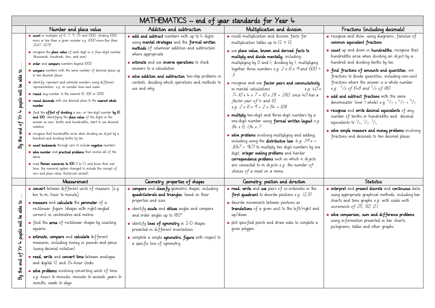|                                                                                       | MATHEMATICS – end of year standards for Year 4                                                                                                                                                                                                                                                                                                                                                                                                                                                                                                                                                                                                                                                                                                                                                                                                                                                                                                                                                                                                                                                                                                   |                                                                                                                                                                                                                                                                                                                                                                                                        |                                                                                                                                                                                                                                                                                                                                                                                                                                                                                                                                                                                                                                                                                                                                                                                                                                                                                                                                                   |                                                                                                                                                                                                                                                                                                                                                                                                                                                                                                                                                                                                                                                                                                   |  |  |
|---------------------------------------------------------------------------------------|--------------------------------------------------------------------------------------------------------------------------------------------------------------------------------------------------------------------------------------------------------------------------------------------------------------------------------------------------------------------------------------------------------------------------------------------------------------------------------------------------------------------------------------------------------------------------------------------------------------------------------------------------------------------------------------------------------------------------------------------------------------------------------------------------------------------------------------------------------------------------------------------------------------------------------------------------------------------------------------------------------------------------------------------------------------------------------------------------------------------------------------------------|--------------------------------------------------------------------------------------------------------------------------------------------------------------------------------------------------------------------------------------------------------------------------------------------------------------------------------------------------------------------------------------------------------|---------------------------------------------------------------------------------------------------------------------------------------------------------------------------------------------------------------------------------------------------------------------------------------------------------------------------------------------------------------------------------------------------------------------------------------------------------------------------------------------------------------------------------------------------------------------------------------------------------------------------------------------------------------------------------------------------------------------------------------------------------------------------------------------------------------------------------------------------------------------------------------------------------------------------------------------------|---------------------------------------------------------------------------------------------------------------------------------------------------------------------------------------------------------------------------------------------------------------------------------------------------------------------------------------------------------------------------------------------------------------------------------------------------------------------------------------------------------------------------------------------------------------------------------------------------------------------------------------------------------------------------------------------------|--|--|
|                                                                                       | Number and place value                                                                                                                                                                                                                                                                                                                                                                                                                                                                                                                                                                                                                                                                                                                                                                                                                                                                                                                                                                                                                                                                                                                           | Addition and subtraction                                                                                                                                                                                                                                                                                                                                                                               | Multiplication and division                                                                                                                                                                                                                                                                                                                                                                                                                                                                                                                                                                                                                                                                                                                                                                                                                                                                                                                       | Fractions (including decimals)                                                                                                                                                                                                                                                                                                                                                                                                                                                                                                                                                                                                                                                                    |  |  |
|                                                                                       | count in multiples of 6, 7, 9, 25 and 1000; finding 1000<br>more or less than a given number e.g. 1000 more/less than<br>2467, 1078                                                                                                                                                                                                                                                                                                                                                                                                                                                                                                                                                                                                                                                                                                                                                                                                                                                                                                                                                                                                              | • add and subtract numbers with up to 4 digits<br>using mental strategies and the formal written                                                                                                                                                                                                                                                                                                       | * recall multiplication and division facts for<br>multiplication tables up to $12 \times 12$                                                                                                                                                                                                                                                                                                                                                                                                                                                                                                                                                                                                                                                                                                                                                                                                                                                      | • recognise and show, using diagrams, families of<br>common equivalent fractions                                                                                                                                                                                                                                                                                                                                                                                                                                                                                                                                                                                                                  |  |  |
| $\mathbf{S}$<br>able<br>pupils will be<br><b>+ +x fo</b><br>ಕ್ಷ<br>$\frac{4}{4}$<br>ౘ | * recognise the <b>place value</b> of each digit in a four-digit number<br>(thousands, hundreds, tens, and ones)<br>• order and compare numbers beyond IOOO<br>compare numbers with the same number of decimal places up<br>to two decimal places<br>identify, represent and estimate numbers using different<br>representations e.g. on number lines and scales<br>* round any number to the nearest IO, IOO or IOOO<br>* round decimals with one decimal place to the nearest whole<br>number<br># find the effect of dividing a one- or two-digit number by IO<br>and IOO, identifying the place value of the digits in the<br>answer as ones, tenths and hundredths; start to use decimal<br>notation<br>* recognise that hundredths arise when dividing an object by a<br>hundred and dividing tenths by ten<br>* count backwards through zero to include negative numbers<br>* solve number and practical problems that involve all of the<br>above<br>$*$ read Roman numerals to $IOO$ ( $ $ to $C\rangle$ and know that over<br>time, the numeral system changed to include the concept of<br>zero and place value (historical context). | methods of columnar addition and subtraction<br>where appropriate<br>* estimate and use inverse operations to check<br>answers to a calculation<br>* solve addition and subtraction two-step problems in<br>contexts, deciding which operations and methods to<br>use and why.                                                                                                                         | * use place value, known and derived facts to<br>multiply and divide mentally, including:<br>multiplying by O and I; dividing by I; multiplying<br>together three numbers e.g. $2 \times 6 \times 9$ and $600 \div$<br>* recognise and use factor pairs and commutativity<br>in mental calculations<br>e.g. $40x$<br>$7 = 10x 4x 7 = 10x 28 = 280$ , since 40 has a<br>factor pair of 4 and 10,<br>e.g. $2 \times 6 \times 9 = 2 \times 54 = 108$<br>* multiply two-digit and three-digit numbers by a<br>one-digit number using <b>formal written layout</b> e.g.<br>$84x$ 6, $134x$ 7<br>* solve problems involving multiplying and adding,<br>including using the <b>distributive law</b> (e.g. $39x =$<br>$30x7 + 9x7$ to multiply two digit numbers by one<br>digit, integer scaling problems and harder<br>correspondence problems such as which n objects<br>are connected to m objects e.g. the number of<br>choices of a meal on a menu. | count up and down in hundredths; recognise that<br>hundredths arise when dividing an object by a<br>hundred and dividing tenths by ten<br>• find fractions of amounts and quantities, use<br>fractions to divide quantities, including non-unit<br>fractions where the answer is a whole number<br>e.g. $3/8$ of £48 and $5/6$ of 180<br>• add and subtract fractions with the same<br>denominator (over I whole) e.g. $5/7 + 4/7 = 9/7$<br><b>* recognise</b> and write decimal equivalents of any<br>number of tenths or hundredths and decimal<br>equivalents to $1/4$ ; $1/2$ ; $3/4$<br>• solve simple measure and money problems involving<br>fractions and decimals to two decimal places. |  |  |
|                                                                                       | Measurement                                                                                                                                                                                                                                                                                                                                                                                                                                                                                                                                                                                                                                                                                                                                                                                                                                                                                                                                                                                                                                                                                                                                      | Geometry: properties of shapes                                                                                                                                                                                                                                                                                                                                                                         | Geometry: position and direction                                                                                                                                                                                                                                                                                                                                                                                                                                                                                                                                                                                                                                                                                                                                                                                                                                                                                                                  | <b>Statistics</b>                                                                                                                                                                                                                                                                                                                                                                                                                                                                                                                                                                                                                                                                                 |  |  |
| $\mathbf{a}$<br>be able<br>pupils will<br>ᅪ<br>⋝<br>ᡶ<br>ಕ್ಷ<br>$\frac{1}{2}$<br>ඨි   | * convert between different units of measure [e.g.<br>km to m; hour to minute]<br>$*$ measure and calculate the perimeter of a<br>rectilinear figure (shapes with right-angled<br>corners) in centimetres and metres<br>* find the area of rectilinear shapes by counting<br>squares<br>* estimate, compare and calculate different<br>measures, including money in pounds and pence<br>(using decimal notation)<br>* read, write and convert time between analoque<br>and digital 12 and 24-hour clocks<br>* solve problems involving converting units of time<br>e.g. hours to minutes; minutes to seconds; years to<br>months; weeks to days.                                                                                                                                                                                                                                                                                                                                                                                                                                                                                                 | * compare and classify geometric shapes, including<br>quadrilaterals and triangles, based on their<br>properties and sizes<br>• identify <b>acute</b> and <b>obtuse</b> angles and compare<br>and order angles up to 180°<br>* identify lines of symmetry in 2-D shapes<br>presented in different orientations<br>* complete a simple symmetric figure with respect to<br>a specific line of symmetry. | * read, write and use pairs of co-ordinates in the<br><b>first quadrant</b> to describe positions <i>e.g.</i> $(2,5)$<br>* describe movements between positions as<br>translations of a given unit to the left/right and<br>up/down<br>* plot specified points and draw sides to complete a<br>given polygon.                                                                                                                                                                                                                                                                                                                                                                                                                                                                                                                                                                                                                                     | * interpret and present discrete and continuous data<br>using appropriate graphical methods, including bar<br>charts and time graphs e.g. with scales with<br>increments of 25, 50, 0.1<br>• solve comparison, sum and difference problems<br>using in formation presented in bar charts,<br>pictograms, tables and other graphs.                                                                                                                                                                                                                                                                                                                                                                 |  |  |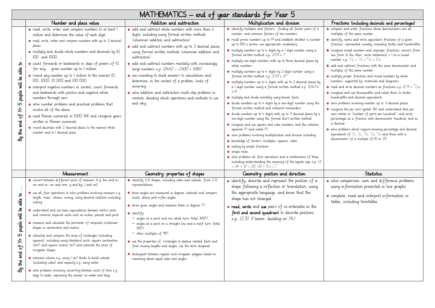|                                                                                            | MATHEMATICS – end of year standards for Year 5                                                                                                                                                                                                                                                                                                                                                                                                                                                                                                                                                                                                                                                                                                                                                                                                                                                                                                                                                |                                                                                                                                                                                                                                                                                                                                                                                                                                                                                                                                                                                                                                                                                 |                                                                                                                                                                                                                                                                                                                                                                                                                                                                                                                                                                                                                                                                                                                                                                                                                                                                                                                                                                                                                                                                                                                                                                                                                                                                                                                                                                                                                                                            |                                                                                                                                                                                                                                                                                                                                                                                                                                                                                                                                                                                                                                                                                                                                                                                                                                                                                                                                                                                                                                                                                                                                                                                                                                                                             |  |  |
|--------------------------------------------------------------------------------------------|-----------------------------------------------------------------------------------------------------------------------------------------------------------------------------------------------------------------------------------------------------------------------------------------------------------------------------------------------------------------------------------------------------------------------------------------------------------------------------------------------------------------------------------------------------------------------------------------------------------------------------------------------------------------------------------------------------------------------------------------------------------------------------------------------------------------------------------------------------------------------------------------------------------------------------------------------------------------------------------------------|---------------------------------------------------------------------------------------------------------------------------------------------------------------------------------------------------------------------------------------------------------------------------------------------------------------------------------------------------------------------------------------------------------------------------------------------------------------------------------------------------------------------------------------------------------------------------------------------------------------------------------------------------------------------------------|------------------------------------------------------------------------------------------------------------------------------------------------------------------------------------------------------------------------------------------------------------------------------------------------------------------------------------------------------------------------------------------------------------------------------------------------------------------------------------------------------------------------------------------------------------------------------------------------------------------------------------------------------------------------------------------------------------------------------------------------------------------------------------------------------------------------------------------------------------------------------------------------------------------------------------------------------------------------------------------------------------------------------------------------------------------------------------------------------------------------------------------------------------------------------------------------------------------------------------------------------------------------------------------------------------------------------------------------------------------------------------------------------------------------------------------------------------|-----------------------------------------------------------------------------------------------------------------------------------------------------------------------------------------------------------------------------------------------------------------------------------------------------------------------------------------------------------------------------------------------------------------------------------------------------------------------------------------------------------------------------------------------------------------------------------------------------------------------------------------------------------------------------------------------------------------------------------------------------------------------------------------------------------------------------------------------------------------------------------------------------------------------------------------------------------------------------------------------------------------------------------------------------------------------------------------------------------------------------------------------------------------------------------------------------------------------------------------------------------------------------|--|--|
|                                                                                            | Number and place value                                                                                                                                                                                                                                                                                                                                                                                                                                                                                                                                                                                                                                                                                                                                                                                                                                                                                                                                                                        | Addition and subtraction                                                                                                                                                                                                                                                                                                                                                                                                                                                                                                                                                                                                                                                        | Multiplication and division                                                                                                                                                                                                                                                                                                                                                                                                                                                                                                                                                                                                                                                                                                                                                                                                                                                                                                                                                                                                                                                                                                                                                                                                                                                                                                                                                                                                                                | Fractions (including decimals and percentages)                                                                                                                                                                                                                                                                                                                                                                                                                                                                                                                                                                                                                                                                                                                                                                                                                                                                                                                                                                                                                                                                                                                                                                                                                              |  |  |
| $\mathbf{a}$<br>able<br>will be<br>pupils<br>S<br>$\star$<br>ჭ<br>g<br>$\frac{1}{2}$<br>ඨි | * read, write, order and compare numbers to at least I<br>million and determine the value of each digit<br>* read, write, order and compare numbers with up to 3 decimal<br>places<br>* multiply and divide whole numbers and decimals by IO,<br>100 and 1000<br>* count forwards or backwards in steps of powers of IO<br>for any qiven number up to I million<br>* round any number up to I million to the nearest IO,<br>100, 1000, 10 000 and 100 000<br>* interpret negative numbers in context, count forwards<br>and backwards with positive and negative whole<br>numbers through zero<br>* solve number problems and practical problems that<br>involve all of the above<br>* read Roman numerals to 1000 (M) and recognise years<br>written in Roman numerals<br>* round decimals with 2 decimal places to the nearest whole<br>number and to I decimal place                                                                                                                       | * add and subtract whole numbers with more than 4<br>digits, including using formal written methods<br>(columnar addition and subtraction)<br>• add and subtract numbers with up to 3 decimal places,<br>using formal written methods (columnar addition and<br>subtraction)<br>* add and subtract numbers mentally with increasingly<br>large numbers e.g. 12462 - 2300 = 10162<br>• use rounding to check answers to calculations and<br>determine, in the context of a problem, levels of<br>accuracy<br>• solve addition and subtraction multi-step problems in<br>contexts, deciding which operations and methods to use<br>and why                                        | * identify multiples and factors, finding all factor pairs of a<br>number, and common factors of two numbers<br>* recall prime numbers up to 19 and establish whether a number<br>up to IOO is prime; use appropriate vocabulary<br>* multiply numbers up to 4 digits by a I digit number using a<br>formal written method e.g. $3721 \times 7$<br>* multiply one-digit numbers with up to three decimal places by<br>whole numbers<br>* multiply numbers up to 4 digits by 2-digit number using a<br>formal written method e.g. 3721 x 37<br>* multiply numbers up to 4 digits with up to 3 decimal places by<br>a I digit number using a formal written method e.g. 5243.4<br>$x \in$<br>* multiply and divide mentally using known facts<br>• divide numbers up to 4 digits by a one-digit number using the<br>formal written method and interpret remainders<br>• divide numbers up to 4 digits with up to 3 decimal places by a<br>one-digit number using the formal short written method<br>* recognise and use square and cube numbers, and the notation<br>squared (2) and cubed (3)<br>* solve problems involving multiplication and division including<br>* knowledge of factors, multiples, squares, cubes<br>* scaling by simple fractions<br>* simple rates.<br>* solve problems all four operations and a combination of these,<br>including understanding the meaning of the equals sign e.g. 13<br>$+ 24 = 12 + 25, 33 = 5 \times \square$ | * compare and order fractions whose denominators are all<br>multiples of the same number<br>identify, name and write equivalent fractions of a given<br>fraction, represented visually, including tenths and hundredths<br>* recognise mixed numbers and improper fractions, convert from<br>one form to the other, write statements > I as a mixed<br>number e.g. $^{2}/_{5}$ + $^{4}/_{5}$ = $^{6}/_{5}$ = 1/ <sub>5</sub><br>• add and subtract fractions with the same denominator and<br>multiples of the same number<br>* multiply proper fractions and mixed numbers by whole<br>numbers, supported by materials and diagrams<br>• read and write decimal numbers as fractions e.g. 0.71 = $\frac{7}{100}$<br>* recognise and use thousandths and relate them to tenths,<br>hundredths and decimal equivalents<br>• solve problems involving number up to 3 decimal places<br>* recognise the per cent symbol (%) and understand that per<br>cent relates to "number of parts per hundred", and write<br>percentages as a fraction with denominator hundred, and as<br>a decimal<br>* solve problems which require knowing percentage and decimal<br>equivalents of $1/2$ , $1/4$ , $1/5$ , $2/5$ , $4/5$ and those with a<br>denominator of a multiple of IO or 25. |  |  |
|                                                                                            | Measurement                                                                                                                                                                                                                                                                                                                                                                                                                                                                                                                                                                                                                                                                                                                                                                                                                                                                                                                                                                                   | Geometry: properties of shapes                                                                                                                                                                                                                                                                                                                                                                                                                                                                                                                                                                                                                                                  | Geometry: position and direction                                                                                                                                                                                                                                                                                                                                                                                                                                                                                                                                                                                                                                                                                                                                                                                                                                                                                                                                                                                                                                                                                                                                                                                                                                                                                                                                                                                                                           | <b>Statistics</b>                                                                                                                                                                                                                                                                                                                                                                                                                                                                                                                                                                                                                                                                                                                                                                                                                                                                                                                                                                                                                                                                                                                                                                                                                                                           |  |  |
| able to<br>will be<br>pupils<br>ω<br>↗<br>᠊ᡃ᠋ᢒ<br>end<br>$\frac{1}{2}$<br>ঐ                | * convert between different units of measure (e.g. km and m;<br>cm and m; cm and mm; q and kq; l and ml)<br>* use all four operations to solve problems involving measure e.g.<br>length, mass, volume, money, using decimal notation including<br>scaling<br>* understand and use basic equivalences between metric units<br>and common imperial units such as inches, pounds and pints<br>* measure and calculate the perimeter of composite rectilinear<br>shapes in centimetres and metres<br>* calculate and compare the area of rectangles (including<br>squares), including using standard units, square centimetres<br>(cm <sup>2</sup> ) and square metres (m <sup>2</sup> ) and estimate the area of<br>irregular shapes<br>* estimate volume e.g. using I cm <sup>3</sup> blocks to build cuboids<br>(including cubes) and capacity e.g. using water<br>* solve problems involving converting between units of time e.g.<br>days to weeks, expressing the answer as weeks and days | * identify 3-D shapes, including cubes and cuboids, from 2-D<br>representations<br>* know angles are measured in degrees; estimate and compare<br>acute, obtuse and reflex angles<br>* draw given angles and measure them in degrees (°)<br>* identify:<br>- angles at a point and one whole turn (total 360°)<br>- angles at a point on a straight line and a half turn (total<br>$180^\circ$ )<br>$-$ other multiples of $90^{\circ}$<br>* use the properties of rectangles to deduce related facts and<br>find missing lengths and angles; use the term diagonal<br>* distinguish between regular and irregular polygons based on<br>reasoning about equal sides and angles. | * identify, describe and represent the position of a<br>shape following a reflection or translation, using<br>the appropriate language, and know that the<br>shape has not changed.<br><b>* read, write</b> and use pairs of co-ordinates in the<br>first and second quadrant to describe positions<br>e.g. $(2,5)$ ( <i>l</i> lesson- building on $Y_+$ )                                                                                                                                                                                                                                                                                                                                                                                                                                                                                                                                                                                                                                                                                                                                                                                                                                                                                                                                                                                                                                                                                                 | • solve comparison, sum and difference problems<br>using in formation presented in line graphs<br>• complete, read and interpret information in<br>tables, including timetables                                                                                                                                                                                                                                                                                                                                                                                                                                                                                                                                                                                                                                                                                                                                                                                                                                                                                                                                                                                                                                                                                             |  |  |